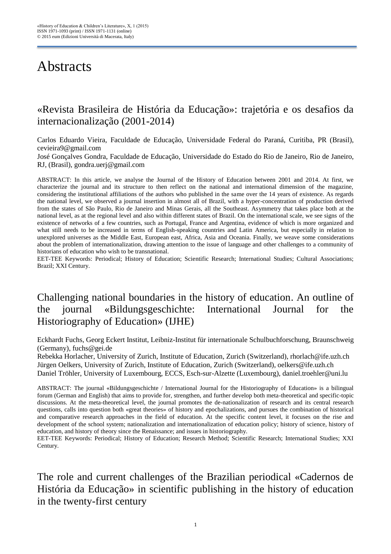# **Abstracts**

### «Revista Brasileira de História da Educação»: trajetória e os desafios da internacionalização (2001-2014)

Carlos Eduardo Vieira, Faculdade de Educação, Universidade Federal do Paraná, Curitiba, PR (Brasil), cevieira9@gmail.com

José Gonçalves Gondra, Faculdade de Educação, Universidade do Estado do Rio de Janeiro, Rio de Janeiro, RJ, (Brasil), gondra.uerj@gmail.com

ABSTRACT: In this article, we analyse the Journal of the History of Education between 2001 and 2014. At first, we characterize the journal and its structure to then reflect on the national and international dimension of the magazine, considering the institutional affiliations of the authors who published in the same over the 14 years of existence. As regards the national level, we observed a journal insertion in almost all of Brazil, with a hyper-concentration of production derived from the states of São Paulo, Rio de Janeiro and Minas Gerais, all the Southeast. Asymmetry that takes place both at the national level, as at the regional level and also within different states of Brazil. On the international scale, we see signs of the existence of networks of a few countries, such as Portugal, France and Argentina, evidence of which is more organized and what still needs to be increased in terms of English-speaking countries and Latin America, but especially in relation to unexplored universes as the Middle East, European east, Africa, Asia and Oceania. Finally, we weave some considerations about the problem of internationalization, drawing attention to the issue of language and other challenges to a community of historians of education who wish to be transnational.

EET-TEE Keywords: Periodical; History of Education; Scientific Research; International Studies; Cultural Associations; Brazil; XXI Century.

# Challenging national boundaries in the history of education. An outline of the journal «Bildungsgeschichte: International Journal for the Historiography of Education» (IJHE)

Eckhardt Fuchs, Georg Eckert Institut, Leibniz-Institut für internationale Schulbuchforschung, Braunschweig (Germany), fuchs@gei.de

Rebekka Horlacher, University of Zurich, Institute of Education, Zurich (Switzerland), rhorlach@ife.uzh.ch Jürgen Oelkers, University of Zurich, Institute of Education, Zurich (Switzerland), oelkers@ife.uzh.ch Daniel Tröhler, University of Luxembourg, ECCS, Esch-sur-Alzette (Luxembourg), daniel.troehler@uni.lu

ABSTRACT: The journal «Bildungsgeschichte / International Journal for the Historiography of Education» is a bilingual forum (German and English) that aims to provide for, strengthen, and further develop both meta-theoretical and specific-topic discussions. At the meta-theoretical level, the journal promotes the de-nationalization of research and its central research questions, calls into question both «great theories» of history and epochalizations, and pursues the combination of historical and comparative research approaches in the field of education. At the specific content level, it focuses on the rise and development of the school system; nationalization and internationalization of education policy; history of science, history of education, and history of theory since the Renaissance; and issues in historiography.

EET-TEE Keywords: Periodical; History of Education; Research Method; Scientific Research; International Studies; XXI Century.

The role and current challenges of the Brazilian periodical «Cadernos de História da Educação» in scientific publishing in the history of education in the twenty-first century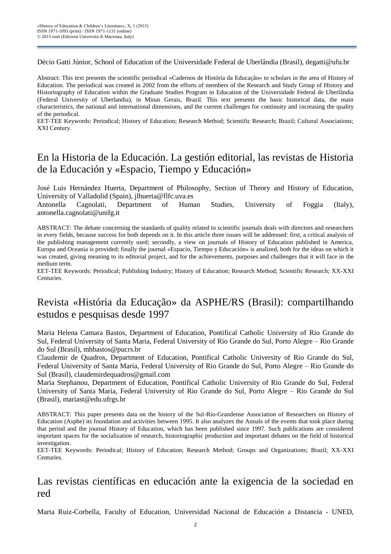Décio Gatti Júnior, School of Education of the Universidade Federal de Uberlândia (Brasil), degatti@ufu.br

Abstract: This text presents the scientific periodical «Cadernos de História da Educação» to scholars in the area of History of Education. The periodical was created in 2002 from the efforts of members of the Research and Study Group of History and Historiography of Education within the Graduate Studies Program in Education of the Universidade Federal de Uberlândia (Federal University of Uberlandia), in Minas Gerais, Brazil. This text presents the basic historical data, the main characteristics, the national and international dimensions, and the current challenges for continuity and increasing the quality of the periodical.

EET-TEE Keywords: Periodical; History of Education; Research Method; Scientific Research; Brazil; Cultural Associations; XXI Century.

### En la Historia de la Educación. La gestión editorial, las revistas de Historia de la Educación y «Espacio, Tiempo y Educación»

José Luis Hernández Huerta, Department of Philosophy, Section of Theory and History of Education, University of Valladolid (Spain), jlhuerta@flfc.uva.es

Antonella Cagnolati, Department of Human Studies, University of Foggia (Italy), antonella.cagnolati@unifg.it

ABSTRACT: The debate concerning the standards of quality related to scientific journals deals with directors and researchers in every fields, because success for both depends on it. In this article three issues will be addressed: first, a critical analysis of the publishing management currently used; secondly, a view on journals of History of Education published in America, Europa and Oceania is provided; finally the journal «Espacio, Tiempo y Educación» is analized, both for the ideas on which it was created, giving meaning to its editorial project, and for the achievements, purposes and challenges that it will face in the medium term.

EET-TEE Keywords: Periodical; Publishing Industry; History of Education; Research Method; Scientific Research; XX-XXI Centuries.

#### Revista «História da Educação» da ASPHE/RS (Brasil): compartilhando estudos e pesquisas desde 1997

Maria Helena Camara Bastos, Department of Education, Pontifical Catholic University of Rio Grande do Sul, Federal University of Santa Maria, Federal University of Rio Grande do Sul, Porto Alegre – Rio Grande do Sul (Brasil), mhbastos@pucrs.br

Claudemir de Quadros, Department of Education, Pontifical Catholic University of Rio Grande do Sul, Federal University of Santa Maria, Federal University of Rio Grande do Sul, Porto Alegre – Rio Grande do Sul (Brasil), claudemirdequadros@gmail.com

Maria Stephanou, Department of Education, Pontifical Catholic University of Rio Grande do Sul, Federal University of Santa Maria, Federal University of Rio Grande do Sul, Porto Alegre – Rio Grande do Sul (Brasil), mariast@edu.ufrgs.br

ABSTRACT: This paper presents data on the history of the Sul-Rio-Grandense Association of Researchers on History of Education (Asphe) its foundation and activities between 1995. It also analyzes the Annals of the events that took place during that period and the journal History of Education, which has been published since 1997. Such publications are considered important spaces for the socialization of research, historiographic production and important debates on the field of historical investigation.

EET-TEE Keywords: Periodical; History of Education; Research Method; Groups and Organizations; Brazil; XX-XXI Centuries.

#### Las revistas científicas en educación ante la exigencia de la sociedad en red

Marta Ruiz-Corbella, Faculty of Education, Universidad Nacional de Educación a Distancia - UNED,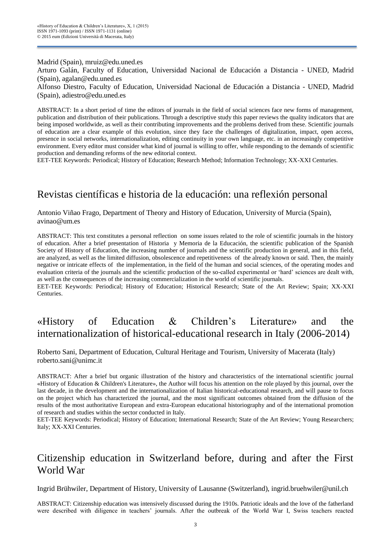#### Madrid (Spain), mruiz@edu.uned.es

Arturo Galán, Faculty of Education, Universidad Nacional de Educación a Distancia - UNED, Madrid (Spain), agalan@edu.uned.es

Alfonso Diestro, Faculty of Education, Universidad Nacional de Educación a Distancia - UNED, Madrid (Spain), adiestro@edu.uned.es

ABSTRACT: In a short period of time the editors of journals in the field of social sciences face new forms of management, publication and distribution of their publications. Through a descriptive study this paper reviews the quality indicators that are being imposed worldwide, as well as their contributing improvements and the problems derived from these. Scientific journals of education are a clear example of this evolution, since they face the challenges of digitalization, impact, open access, presence in social networks, internationalization, editing continuity in your own language, etc. in an increasingly competitive environment. Every editor must consider what kind of journal is willing to offer, while responding to the demands of scientific production and demanding reforms of the new editorial context.

EET-TEE Keywords: Periodical; History of Education; Research Method; Information Technology; XX-XXI Centuries.

#### Revistas científicas e historia de la educación: una reflexión personal

Antonio Viñao Frago, Department of Theory and History of Education, University of Murcia (Spain), avinao@um.es

ABSTRACT: This text constitutes a personal reflection on some issues related to the role of scientific journals in the history of education. After a brief presentation of Historia y Memoria de la Educación, the scientific publication of the Spanish Society of History of Education, the increasing number of journals and the scientific production in general, and in this field, are analyzed, as well as the limited diffusion, obsolescence and repetitiveness of the already known or said. Then, the mainly negative or intricate effects of the implementation, in the field of the human and social sciences, of the operating modes and evaluation criteria of the journals and the scientific production of the so-called experimental or 'hard' sciences are dealt with, as well as the consequences of the increasing commercialization in the world of scientific journals.

EET-TEE Keywords: Periodical; History of Education; Historical Research; State of the Art Review; Spain; XX-XXI Centuries.

#### «History of Education & Children's Literature» and the internationalization of historical-educational research in Italy (2006-2014)

Roberto Sani, Department of Education, Cultural Heritage and Tourism, University of Macerata (Italy) roberto.sani@unimc.it

ABSTRACT: After a brief but organic illustration of the history and characteristics of the international scientific journal «History of Education & Children's Literature», the Author will focus his attention on the role played by this journal, over the last decade, in the development and the internationalization of Italian historical-educational research, and will pause to focus on the project which has characterized the journal, and the most significant outcomes obtained from the diffusion of the results of the most authoritative European and extra-European educational historiography and of the international promotion of research and studies within the sector conducted in Italy.

EET-TEE Keywords: Periodical; History of Education; International Research; State of the Art Review; Young Researchers; Italy; XX-XXI Centuries.

#### Citizenship education in Switzerland before, during and after the First World War

Ingrid Brühwiler, Department of History, University of Lausanne (Switzerland), ingrid.bruehwiler@unil.ch

ABSTRACT: Citizenship education was intensively discussed during the 1910s. Patriotic ideals and the love of the fatherland were described with diligence in teachers' journals. After the outbreak of the World War I, Swiss teachers reacted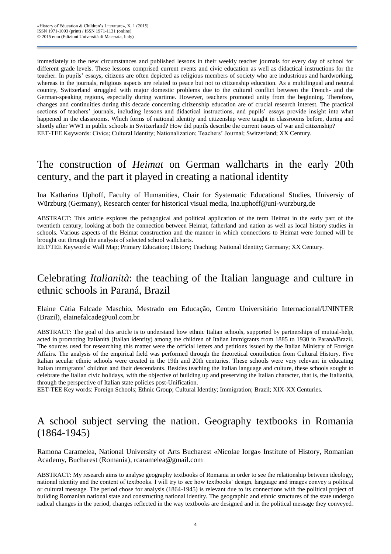immediately to the new circumstances and published lessons in their weekly teacher journals for every day of school for different grade levels. These lessons comprised current events and civic education as well as didactical instructions for the teacher. In pupils' essays, citizens are often depicted as religious members of society who are industrious and hardworking, whereas in the journals, religious aspects are related to peace but not to citizenship education. As a multilingual and neutral country, Switzerland struggled with major domestic problems due to the cultural conflict between the French- and the German-speaking regions, especially during wartime. However, teachers promoted unity from the beginning. Therefore, changes and continuities during this decade concerning citizenship education are of crucial research interest. The practical sections of teachers' journals, including lessons and didactical instructions, and pupils' essays provide insight into what happened in the classrooms. Which forms of national identity and citizenship were taught in classrooms before, during and shortly after WW1 in public schools in Switzerland? How did pupils describe the current issues of war and citizenship? EET-TEE Keywords: Civics; Cultural Identity; Nationalization; Teachers' Journal; Switzerland; XX Century.

#### The construction of *Heimat* on German wallcharts in the early 20th century, and the part it played in creating a national identity

Ina Katharina Uphoff, Faculty of Humanities, Chair for Systematic Educational Studies, Universiy of Würzburg (Germany), Research center for historical visual media, ina.uphoff@uni-wurzburg.de

ABSTRACT: This article explores the pedagogical and political application of the term Heimat in the early part of the twentieth century, looking at both the connection between Heimat, fatherland and nation as well as local history studies in schools. Various aspects of the Heimat construction and the manner in which connections to Heimat were formed will be brought out through the analysis of selected school wallcharts.

EET/TEE Keywords: Wall Map; Primary Education; History; Teaching; National Identity; Germany; XX Century.

#### Celebrating *Italianità*: the teaching of the Italian language and culture in ethnic schools in Paraná, Brazil

Elaine Cátia Falcade Maschio, Mestrado em Educação, Centro Universitário Internacional/UNINTER (Brazil), elainefalcade@uol.com.br

ABSTRACT: The goal of this article is to understand how ethnic Italian schools, supported by partnerships of mutual-help, acted in promoting Italianità (Italian identity) among the children of Italian immigrants from 1885 to 1930 in Paraná/Brazil. The sources used for researching this matter were the official letters and petitions issued by the Italian Ministry of Foreign Affairs. The analysis of the empirical field was performed through the theoretical contribution from Cultural History. Five Italian secular ethnic schools were created in the 19th and 20th centuries. These schools were very relevant in educating Italian immigrants' children and their descendants. Besides teaching the Italian language and culture, these schools sought to celebrate the Italian civic holidays, with the objective of building up and preserving the Italian character, that is, the Italianità, through the perspective of Italian state policies post-Unification.

EET-TEE Key words: Foreign Schools; Ethnic Group; Cultural Identity; Immigration; Brazil; XIX-XX Centuries.

### A school subject serving the nation. Geography textbooks in Romania (1864-1945)

Ramona Caramelea, National University of Arts Bucharest «Nicolae Iorga» Institute of History, Romanian Academy, Bucharest (Romania), rcaramelea@gmail.com

ABSTRACT: My research aims to analyse geography textbooks of Romania in order to see the relationship between ideology, national identity and the content of textbooks. I will try to see how textbooks' design, language and images convey a political or cultural message. The period chose for analysis (1864-1945) is relevant due to its connections with the political project of building Romanian national state and constructing national identity. The geographic and ethnic structures of the state undergo radical changes in the period, changes reflected in the way textbooks are designed and in the political message they conveyed.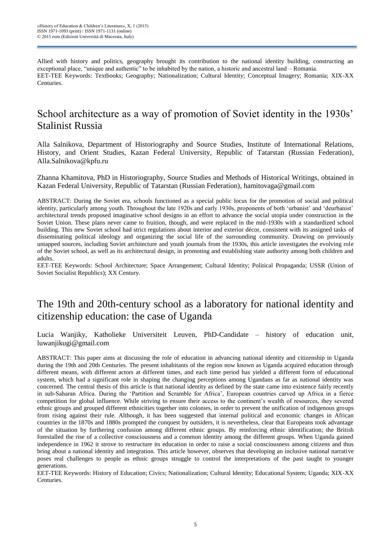Allied with history and politics, geography brought its contribution to the national identity building, constructing an exceptional place, "unique and authentic" to be inhabited by the nation, a historic and ancestral land – Romania. EET-TEE Keywords: Textbooks; Geography; Nationalization; Cultural Identity; Conceptual Imagery; Romania; XIX-XX Centuries.

#### School architecture as a way of promotion of Soviet identity in the 1930s' Stalinist Russia

Alla Salnikova, Department of Historiography and Source Studies, Institute of International Relations, History, and Orient Studies, Kazan Federal University, Republic of Tatarstan (Russian Federation), Alla.Salnikova@kpfu.ru

Zhanna Khamitova, PhD in Historiography, Source Studies and Methods of Historical Writings, obtained in Kazan Federal University, Republic of Tatarstan (Russian Federation), hamitovaga@gmail.com

ABSTRACT: During the Soviet era, schools functioned as a special public locus for the promotion of social and political identity, particularly among youth. Throughout the late 1920s and early 1930s, proponents of both 'urbanist' and 'deurbanist' architectural trends proposed imaginative school designs in an effort to advance the social utopia under construction in the Soviet Union. These plans never came to fruition, though, and were replaced in the mid-1930s with a standardized school building. This new Soviet school had strict regulations about interior and exterior décor, consistent with its assigned tasks of disseminating political ideology and organizing the social life of the surrounding community. Drawing on previously untapped sources, including Soviet architecture and youth journals from the 1930s, this article investigates the evolving role of the Soviet school, as well as its architectural design, in promoting and establishing state authority among both children and adults.

EET-TEE Keywords: School Architecture; Space Arrangement; Cultural Identity; Political Propaganda; USSR (Union of Soviet Socialist Republics); XX Century.

#### The 19th and 20th-century school as a laboratory for national identity and citizenship education: the case of Uganda

Lucia Wanjiky, Katholieke Universiteit Leuven, PhD-Candidate – history of education unit, luwanjikugi@gmail.com

ABSTRACT: This paper aims at discussing the role of education in advancing national identity and citizenship in Uganda during the 19th and 20th Centuries. The present inhabitants of the region now known as Uganda acquired education through different means, with different actors at different times, and each time period has yielded a different form of educational system, which had a significant role in shaping the changing perceptions among Ugandans as far as national identity was concerned. The central thesis of this article is that national identity as defined by the state came into existence fairly recently in sub-Saharan Africa. During the 'Partition and Scramble for Africa', European countries carved up Africa in a fierce competition for global influence. While striving to ensure their access to the continent's wealth of resources, they severed ethnic groups and grouped different ethnicities together into colonies, in order to prevent the unification of indigenous groups from rising against their rule. Although, it has been suggested that internal political and economic changes in African countries in the 1870s and 1880s prompted the conquest by outsiders, it is nevertheless, clear that Europeans took advantage of the situation by furthering confusion among different ethnic groups. By reinforcing ethnic identification; the British forestalled the rise of a collective consciousness and a common identity among the different groups. When Uganda gained independence in 1962 it strove to restructure its education in order to raise a social consciousness among citizens and thus bring about a national identity and integration. This article however, observes that developing an inclusive national narrative poses real challenges to people as ethnic groups struggle to control the interpretations of the past taught to younger generations.

EET-TEE Keywords: History of Education; Civics; Nationalization; Cultural Identity; Educational System; Uganda; XIX-XX Centuries.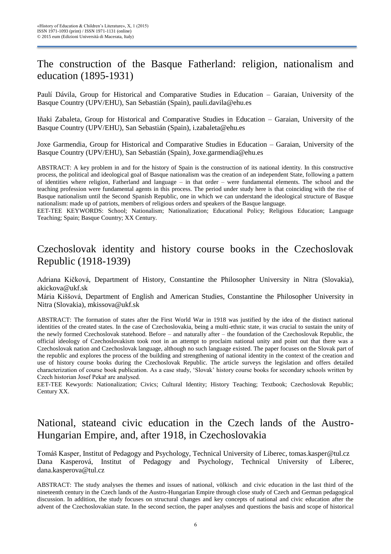### The construction of the Basque Fatherland: religion, nationalism and education (1895-1931)

Paulí Dávila, Group for Historical and Comparative Studies in Education – Garaian, University of the Basque Country (UPV/EHU), San Sebastián (Spain), pauli.davila@ehu.es

Iñaki Zabaleta, Group for Historical and Comparative Studies in Education – Garaian, University of the Basque Country (UPV/EHU), San Sebastián (Spain), i.zabaleta@ehu.es

Joxe Garmendia, Group for Historical and Comparative Studies in Education – Garaian, University of the Basque Country (UPV/EHU), San Sebastián (Spain), Joxe.garmendia@ehu.es

ABSTRACT: A key problem in and for the history of Spain is the construction of its national identity. In this constructive process, the political and ideological goal of Basque nationalism was the creation of an independent State, following a pattern of identities where religion, Fatherland and language – in that order – were fundamental elements. The school and the teaching profession were fundamental agents in this process. The period under study here is that coinciding with the rise of Basque nationalism until the Second Spanish Republic, one in which we can understand the ideological structure of Basque nationalism: made up of patriots, members of religious orders and speakers of the Basque language.

EET-TEE KEYWORDS: School; Nationalism; Nationalization; Educational Policy; Religious Education; Language Teaching; Spain; Basque Country; XX Century.

#### Czechoslovak identity and history course books in the Czechoslovak Republic (1918-1939)

Adriana Kičková, Department of History, Constantine the Philosopher University in Nitra (Slovakia), akickova@ukf.sk

Mária Kiššová, Department of English and American Studies, Constantine the Philosopher University in Nitra (Slovakia), mkissova@ukf.sk

ABSTRACT: The formation of states after the First World War in 1918 was justified by the idea of the distinct national identities of the created states. In the case of Czechoslovakia, being a multi-ethnic state, it was crucial to sustain the unity of the newly formed Czechoslovak statehood. Before – and naturally after – the foundation of the Czechoslovak Republic, the official ideology of Czechoslovakism took root in an attempt to proclaim national unity and point out that there was a Czechoslovak nation and Czechoslovak language, although no such language existed. The paper focuses on the Slovak part of the republic and explores the process of the building and strengthening of national identity in the context of the creation and use of history course books during the Czechoslovak Republic. The article surveys the legislation and offers detailed characterization of course book publication. As a case study, 'Slovak' history course books for secondary schools written by Czech historian Josef Pekař are analysed.

EET-TEE Kewyords: Nationalization; Civics; Cultural Identity; History Teaching; Textbook; Czechoslovak Republic; Century XX.

### National, stateand civic education in the Czech lands of the Austro-Hungarian Empire, and, after 1918, in Czechoslovakia

Tomáš Kasper, Institut of Pedagogy and Psychology, Technical University of Liberec, tomas.kasper@tul.cz Dana Kasperová, Institut of Pedagogy and Psychology, Technical University of Liberec, dana.kasperova@tul.cz

ABSTRACT: The study analyses the themes and issues of national, völkisch and civic education in the last third of the nineteenth century in the Czech lands of the Austro-Hungarian Empire through close study of Czech and German pedagogical discussion. In addition, the study focuses on structural changes and key concepts of national and civic education after the advent of the Czechoslovakian state. In the second section, the paper analyses and questions the basis and scope of historical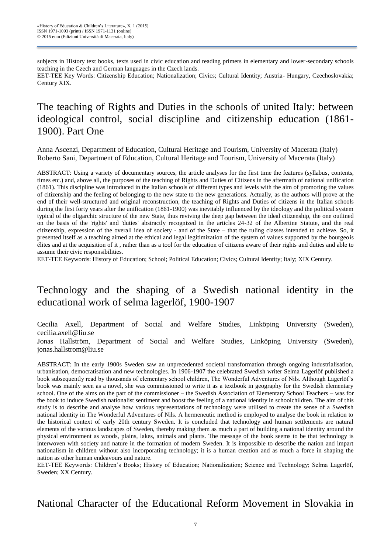subjects in History text books, texts used in civic education and reading primers in elementary and lower-secondary schools teaching in the Czech and German languages in the Czech lands. EET-TEE Key Words: Citizenship Education; Nationalization; Civics; Cultural Identity; Austria- Hungary, Czechoslovakia; Century XIX.

### The teaching of Rights and Duties in the schools of united Italy: between ideological control, social discipline and citizenship education (1861- 1900). Part One

Anna Ascenzi, Department of Education, Cultural Heritage and Tourism, University of Macerata (Italy) Roberto Sani, Department of Education, Cultural Heritage and Tourism, University of Macerata (Italy)

ABSTRACT: Using a variety of documentary sources, the article analyses for the first time the features (syllabus, contents, times etc.) and, above all, the purposes of the teaching of Rights and Duties of Citizens in the aftermath of national unification (1861). This discipline was introduced in the Italian schools of different types and levels with the aim of promoting the values of citizenship and the feeling of belonging to the new state to the new generations. Actually, as the authors will prove at the end of their well-structured and original reconstruction, the teaching of Rights and Duties of citizens in the Italian schools during the first forty years after the unification (1861-1900) was inevitably influenced by the ideology and the political system typical of the oligarchic structure of the new State, thus reviving the deep gap between the ideal citizenship, the one outlined on the basis of the 'rights' and 'duties' abstractly recognized in the articles 24-32 of the Albertine Statute, and the real citizenship, expression of the overall idea of society - and of the State – that the ruling classes intended to achieve. So, it presented itself as a teaching aimed at the ethical and legal legitimization of the system of values supported by the bourgeois élites and at the acquisition of it , rather than as a tool for the education of citizens aware of their rights and duties and able to assume their civic responsibilities.

EET-TEE Keywords: History of Education; School; Political Education; Civics; Cultural Identity; Italy; XIX Century.

### Technology and the shaping of a Swedish national identity in the educational work of selma lagerlöf, 1900-1907

Cecilia Axell, Department of Social and Welfare Studies, Linköping University (Sweden), cecilia.axell@liu.se Jonas Hallström, Department of Social and Welfare Studies, Linköping University (Sweden), jonas.hallstrom@liu.se

ABSTRACT: In the early 1900s Sweden saw an unprecedented societal transformation through ongoing industrialisation, urbanisation, democratisation and new technologies. In 1906-1907 the celebrated Swedish writer Selma Lagerlöf published a book subsequently read by thousands of elementary school children, The Wonderful Adventures of Nils. Although Lagerlöf's book was mainly seen as a novel, she was commissioned to write it as a textbook in geography for the Swedish elementary school. One of the aims on the part of the commissioner – the Swedish Association of Elementary School Teachers – was for the book to induce Swedish nationalist sentiment and boost the feeling of a national identity in schoolchildren. The aim of this study is to describe and analyse how various representations of technology were utilised to create the sense of a Swedish national identity in The Wonderful Adventures of Nils. A hermeneutic method is employed to analyse the book in relation to the historical context of early 20th century Sweden. It is concluded that technology and human settlements are natural elements of the various landscapes of Sweden, thereby making them as much a part of building a national identity around the physical environment as woods, plains, lakes, animals and plants. The message of the book seems to be that technology is interwoven with society and nature in the formation of modern Sweden. It is impossible to describe the nation and impart nationalism in children without also incorporating technology; it is a human creation and as much a force in shaping the nation as other human endeavours and nature.

EET-TEE Keywords: Children's Books; History of Education; Nationalization; Science and Technology; Selma Lagerlöf, Sweden; XX Century.

#### National Character of the Educational Reform Movement in Slovakia in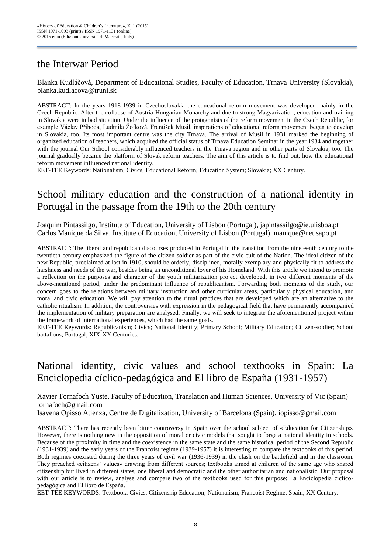### the Interwar Period

Blanka Kudláčová, Department of Educational Studies, Faculty of Education, Trnava University (Slovakia), blanka.kudlacova@truni.sk

ABSTRACT: In the years 1918-1939 in Czechoslovakia the educational reform movement was developed mainly in the Czech Republic. After the collapse of Austria-Hungarian Monarchy and due to strong Magyarization, education and training in Slovakia were in bad situation. Under the influence of the protagonists of the reform movement in the Czech Republic, for example Václav Příhoda, Ludmila Žofková, František Musil, inspirations of educational reform movement began to develop in Slovakia, too. Its most important centre was the city Trnava. The arrival of Musil in 1931 marked the beginning of organized education of teachers, which acquired the official status of Trnava Education Seminar in the year 1934 and together with the journal Our School considerably influenced teachers in the Trnava region and in other parts of Slovakia, too. The journal gradually became the platform of Slovak reform teachers. The aim of this article is to find out, how the educational reform movement influenced national identity.

EET-TEE Keywords: Nationalism; Civics; Educational Reform; Education System; Slovakia; XX Century.

#### School military education and the construction of a national identity in Portugal in the passage from the 19th to the 20th century

Joaquim Pintassilgo, Institute of Education, University of Lisbon (Portugal), japintassilgo@ie.ulisboa.pt Carlos Manique da Silva, Institute of Education, University of Lisbon (Portugal), manique@net.sapo.pt

ABSTRACT: The liberal and republican discourses produced in Portugal in the transition from the nineteenth century to the twentieth century emphasized the figure of the citizen-soldier as part of the civic cult of the Nation. The ideal citizen of the new Republic, proclaimed at last in 1910, should be orderly, disciplined, morally exemplary and physically fit to address the harshness and needs of the war, besides being an unconditional lover of his Homeland. With this article we intend to promote a reflection on the purposes and character of the youth militarization project developed, in two different moments of the above-mentioned period, under the predominant influence of republicanism. Forwarding both moments of the study, our concern goes to the relations between military instruction and other curricular areas, particularly physical education, and moral and civic education. We will pay attention to the ritual practices that are developed which are an alternative to the catholic ritualism. In addition, the controversies with expression in the pedagogical field that have permanently accompanied the implementation of military preparation are analysed. Finally, we will seek to integrate the aforementioned project within the framework of international experiences, which had the same goals.

EET-TEE Keywords: Republicanism; Civics; National Identity; Primary School; Military Education; Citizen-soldier; School battalions; Portugal; XIX-XX Centuries.

# National identity, civic values and school textbooks in Spain: La Enciclopedia cíclico-pedagógica and El libro de España (1931-1957)

Xavier Tornafoch Yuste, Faculty of Education, Translation and Human Sciences, University of Vic (Spain) tornafoch@gmail.com

Isavena Opisso Atienza, Centre de Digitalization, University of Barcelona (Spain), iopisso@gmail.com

ABSTRACT: There has recently been bitter controversy in Spain over the school subject of «Education for Citizenship». However, there is nothing new in the opposition of moral or civic models that sought to forge a national identity in schools. Because of the proximity in time and the coexistence in the same state and the same historical period of the Second Republic (1931-1939) and the early years of the Francoist regime (1939-1957) it is interesting to compare the textbooks of this period. Both regimes coexisted during the three years of civil war (1936-1939) in the clash on the battlefield and in the classroom. They preached «citizens' values» drawing from different sources; textbooks aimed at children of the same age who shared citizenship but lived in different states, one liberal and democratic and the other authoritarian and nationalistic. Our proposal with our article is to review, analyse and compare two of the textbooks used for this purpose: La Enciclopedia cíclicopedagógica and El libro de España.

EET-TEE KEYWORDS: Textbook; Civics; Citizenship Education; Nationalism; Francoist Regime; Spain; XX Century.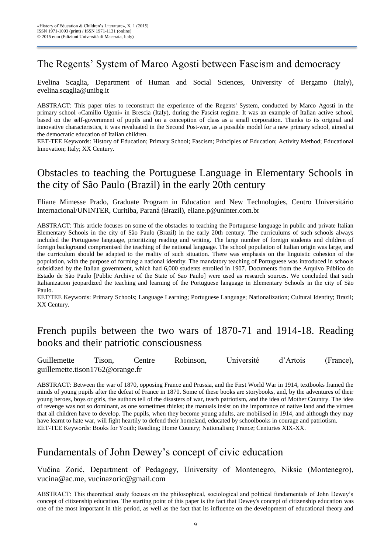# The Regents' System of Marco Agosti between Fascism and democracy

Evelina Scaglia, Department of Human and Social Sciences, University of Bergamo (Italy), evelina.scaglia@unibg.it

ABSTRACT: This paper tries to reconstruct the experience of the Regents' System, conducted by Marco Agosti in the primary school «Camillo Ugoni» in Brescia (Italy), during the Fascist regime. It was an example of Italian active school, based on the self-government of pupils and on a conception of class as a small corporation. Thanks to its original and innovative characteristics, it was revaluated in the Second Post-war, as a possible model for a new primary school, aimed at the democratic education of Italian children.

EET-TEE Keywords: History of Education; Primary School; Fascism; Principles of Education; Activity Method; Educational Innovation; Italy; XX Century.

#### Obstacles to teaching the Portuguese Language in Elementary Schools in the city of São Paulo (Brazil) in the early 20th century

Eliane Mimesse Prado, Graduate Program in Education and New Technologies, Centro Universitário Internacional/UNINTER, Curitiba, Paraná (Brazil), eliane.p@uninter.com.br

ABSTRACT: This article focuses on some of the obstacles to teaching the Portuguese language in public and private Italian Elementary Schools in the city of São Paulo (Brazil) in the early 20th century. The curriculums of such schools always included the Portuguese language, prioritizing reading and writing. The large number of foreign students and children of foreign background compromised the teaching of the national language. The school population of Italian origin was large, and the curriculum should be adapted to the reality of such situation. There was emphasis on the linguistic cohesion of the population, with the purpose of forming a national identity. The mandatory teaching of Portuguese was introduced in schools subsidized by the Italian government, which had 6,000 students enrolled in 1907. Documents from the Arquivo Público do Estado de São Paulo [Public Archive of the State of Sao Paulo] were used as research sources. We concluded that such Italianization jeopardized the teaching and learning of the Portuguese language in Elementary Schools in the city of São Paulo.

EET/TEE Keywords: Primary Schools; Language Learning; Portuguese Language; Nationalization; Cultural Identity; Brazil; XX Century.

#### French pupils between the two wars of 1870-71 and 1914-18. Reading books and their patriotic consciousness

Guillemette Tison, Centre Robinson, Université d'Artois (France), guillemette.tison1762@orange.fr

ABSTRACT: Between the war of 1870, opposing France and Prussia, and the First World War in 1914, textbooks framed the minds of young pupils after the defeat of France in 1870. Some of these books are storybooks, and, by the adventures of their young heroes, boys or girls, the authors tell of the disasters of war, teach patriotism, and the idea of Mother Country. The idea of revenge was not so dominant, as one sometimes thinks; the manuals insist on the importance of native land and the virtues that all children have to develop. The pupils, when they become young adults, are mobilised in 1914, and although they may have learnt to hate war, will fight heartily to defend their homeland, educated by schoolbooks in courage and patriotism. EET-TEE Keywords: Books for Youth; Reading; Home Country; Nationalism; France; Centuries XIX-XX.

#### Fundamentals of John Dewey's concept of civic education

Vučina Zorić, Department of Pedagogy, University of Montenegro, Niksic (Montenegro), vucina@ac.me, vucinazoric@gmail.com

ABSTRACT: This theoretical study focuses on the philosophical, sociological and political fundamentals of John Dewey's concept of citizenship education. The starting point of this paper is the fact that Dewey's concept of citizenship education was one of the most important in this period, as well as the fact that its influence on the development of educational theory and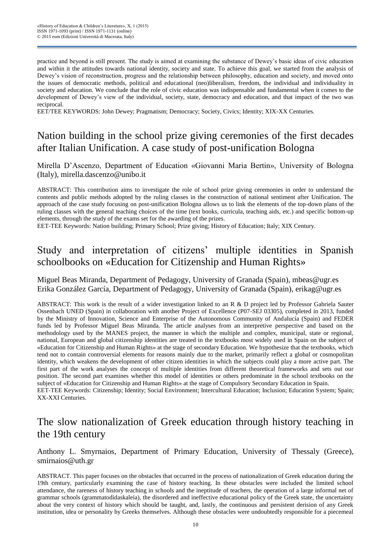practice and beyond is still present. The study is aimed at examining the substance of Dewey's basic ideas of civic education and within it the attitudes towards national identity, society and state. To achieve this goal, we started from the analysis of Dewey's vision of reconstruction, progress and the relationship between philosophy, education and society, and moved onto the issues of democratic methods, political and educational (neo)liberalism, freedom, the individual and individuality in society and education. We conclude that the role of civic education was indispensable and fundamental when it comes to the development of Dewey's view of the individual, society, state, democracy and education, and that impact of the two was reciprocal.

EET/TEE KEYWORDS: John Dewey; Pragmatism; Democracy; Society, Civics; Identity; XIX-XX Centuries.

#### Nation building in the school prize giving ceremonies of the first decades after Italian Unification. A case study of post-unification Bologna

Mirella D'Ascenzo, Department of Education «Giovanni Maria Bertin», University of Bologna (Italy), mirella.dascenzo@unibo.it

ABSTRACT: This contribution aims to investigate the role of school prize giving ceremonies in order to understand the contents and public methods adopted by the ruling classes in the construction of national sentiment after Unification. The approach of the case study focusing on post-unification Bologna allows us to link the elements of the top-down plans of the ruling classes with the general teaching choices of the time (text books, curricula, teaching aids, etc.) and specific bottom-up elements, through the study of the exams set for the awarding of the prizes.

EET-TEE Keywords: Nation building; Primary School; Prize giving; History of Education; Italy; XIX Century.

#### Study and interpretation of citizens' multiple identities in Spanish schoolbooks on «Education for Citizenship and Human Rights»

Miguel Beas Miranda, Department of Pedagogy, University of Granada (Spain), mbeas@ugr.es Erika González García, Department of Pedagogy, University of Granada (Spain), erikag@ugr.es

ABSTRACT: This work is the result of a wider investigation linked to an R & D project led by Professor Gabriela Sauter Ossenbach UNED (Spain) in collaboration with another Project of Excellence (P07-SEJ 03305), completed in 2013, funded by the Ministry of Innovation, Science and Enterprise of the Autonomous Community of Andalucía (Spain) and FEDER funds led by Professor Miguel Beas Miranda. The article analyses from an interpretive perspective and based on the methodology used by the MANES project, the manner in which the multiple and complex, municipal, state or regional, national, European and global citizenship identities are treated in the textbooks most widely used in Spain on the subject of «Education for Citizenship and Human Rights» at the stage of secondary Education. We hypothesize that the textbooks, which tend not to contain controversial elements for reasons mainly due to the market, primarily reflect a global or cosmopolitan identity, which weakens the development of other citizen identities in which the subjects could play a more active part. The first part of the work analyses the concept of multiple identities from different theoretical frameworks and sets out our position. The second part examines whether this model of identities or others predominate in the school textbooks on the subject of «Education for Citizenship and Human Rights» at the stage of Compulsory Secondary Education in Spain. EET-TEE Keywords: Citizenship; Identity; Social Environment; Intercultural Education; Inclusion; Education System; Spain; XX-XXI Centuries.

### The slow nationalization of Greek education through history teaching in the 19th century

Anthony L. Smyrnaios, Department of Primary Education, University of Thessaly (Greece), smirnaios@uth.gr

ABSTRACT. This paper focuses on the obstacles that occurred in the process of nationalization of Greek education during the 19th century, particularly examining the case of history teaching. In these obstacles were included the limited school attendance, the rareness of history teaching in schools and the ineptitude of teachers, the operation of a large informal net of grammar schools (grammatodidaskaleia), the disordered and ineffective educational policy of the Greek state, the uncertainty about the very context of history which should be taught, and, lastly, the continuous and persistent derision of any Greek institution, idea or personality by Greeks themselves. Although these obstacles were undoubtedly responsible for a piecemeal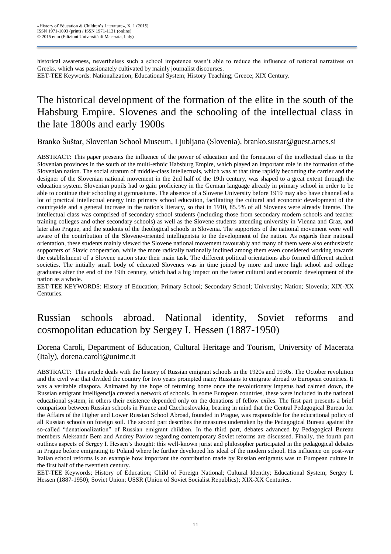historical awareness, nevertheless such a school impotence wasn't able to reduce the influence of national narratives on Greeks, which was passionately cultivated by mainly journalist discourses. EET-TEE Keywords: Nationalization; Educational System; History Teaching; Greece; XIX Century.

### The historical development of the formation of the elite in the south of the Habsburg Empire. Slovenes and the schooling of the intellectual class in the late 1800s and early 1900s

Branko Šuštar, Slovenian School Museum, Ljubljana (Slovenia), branko.sustar@guest.arnes.si

ABSTRACT: This paper presents the influence of the power of education and the formation of the intellectual class in the Slovenian provinces in the south of the multi-ethnic Habsburg Empire, which played an important role in the formation of the Slovenian nation. The social stratum of middle-class intellectuals, which was at that time rapidly becoming the carrier and the designer of the Slovenian national movement in the 2nd half of the 19th century, was shaped to a great extent through the education system. Slovenian pupils had to gain proficiency in the German language already in primary school in order to be able to continue their schooling at gymnasiums. The absence of a Slovene University before 1919 may also have channelled a lot of practical intellectual energy into primary school education, facilitating the cultural and economic development of the countryside and a general increase in the nation's literacy, so that in 1910, 85.5% of all Slovenes were already literate. The intellectual class was comprised of secondary school students (including those from secondary modern schools and teacher training colleges and other secondary schools) as well as the Slovene students attending university in Vienna and Graz, and later also Prague, and the students of the theological schools in Slovenia. The supporters of the national movement were well aware of the contribution of the Slovene-oriented intelligentsia to the development of the nation. As regards their national orientation, these students mainly viewed the Slovene national movement favourably and many of them were also enthusiastic supporters of Slavic cooperation, while the more radically nationally inclined among them even considered working towards the establishment of a Slovene nation state their main task. The different political orientations also formed different student societies. The initially small body of educated Slovenes was in time joined by more and more high school and college graduates after the end of the 19th century, which had a big impact on the faster cultural and economic development of the nation as a whole.

EET-TEE KEYWORDS: History of Education; Primary School; Secondary School; University; Nation; Slovenia; XIX-XX Centuries.

### Russian schools abroad. National identity, Soviet reforms and cosmopolitan education by Sergey I. Hessen (1887-1950)

#### Dorena Caroli, Department of Education, Cultural Heritage and Tourism, University of Macerata (Italy), dorena.caroli@unimc.it

ABSTRACT: This article deals with the history of Russian emigrant schools in the 1920s and 1930s. The October revolution and the civil war that divided the country for two years prompted many Russians to emigrate abroad to European countries. It was a veritable diaspora. Animated by the hope of returning home once the revolutionary impetus had calmed down, the Russian emigrant intelligencija created a network of schools. In some European countries, these were included in the national educational system, in others their existence depended only on the donations of fellow exiles. The first part presents a brief comparison between Russian schools in France and Czechoslovakia, bearing in mind that the Central Pedagogical Bureau for the Affairs of the Higher and Lower Russian School Abroad, founded in Prague, was responsible for the educational policy of all Russian schools on foreign soil. The second part describes the measures undertaken by the Pedagogical Bureau against the so-called "denationalization" of Russian emigrant children. In the third part, debates advanced by Pedagogical Bureau members Aleksandr Bem and Andrey Pavlov regarding contemporary Soviet reforms are discussed. Finally, the fourth part outlines aspects of Sergey I. Hessen's thought: this well-known jurist and philosopher participated in the pedagogical debates in Prague before emigrating to Poland where he further developed his ideal of the modern school. His influence on post-war Italian school reforms is an example how important the contribution made by Russian emigrants was to European culture in the first half of the twentieth century.

EET-TEE Keywords; History of Education; Child of Foreign National; Cultural Identity; Educational System; Sergey I. Hessen (1887-1950); Soviet Union; USSR (Union of Soviet Socialist Republics); XIX-XX Centuries.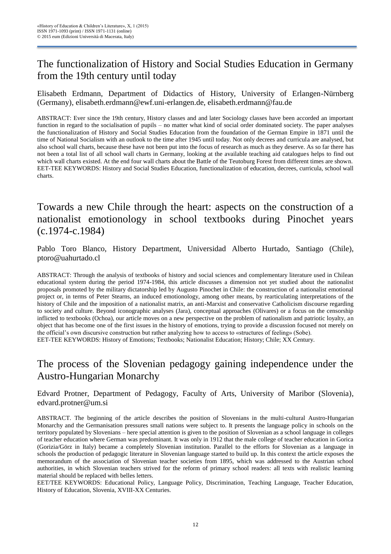### The functionalization of History and Social Studies Education in Germany from the 19th century until today

Elisabeth Erdmann, Department of Didactics of History, University of Erlangen-Nürnberg (Germany), elisabeth.erdmann@ewf.uni-erlangen.de, elisabeth.erdmann@fau.de

ABSTRACT: Ever since the 19th century, History classes and and later Sociology classes have been accorded an important function in regard to the socialisation of pupils – no matter what kind of social order dominated society. The paper analyses the functionalization of History and Social Studies Education from the foundation of the German Empire in 1871 until the time of National Socialism with an outlook to the time after 1945 until today. Not only decrees and curricula are analysed, but also school wall charts, because these have not been put into the focus of research as much as they deserve. As so far there has not been a total list of all school wall charts in Germany, looking at the available teaching aid catalogues helps to find out which wall charts existed. At the end four wall charts about the Battle of the Teutoburg Forest from different times are shown. EET-TEE KEYWORDS: History and Social Studies Education, functionalization of education, decrees, curricula, school wall charts.

### Towards a new Chile through the heart: aspects on the construction of a nationalist emotionology in school textbooks during Pinochet years (c.1974-c.1984)

Pablo Toro Blanco, History Department, Universidad Alberto Hurtado, Santiago (Chile), ptoro@uahurtado.cl

ABSTRACT: Through the analysis of textbooks of history and social sciences and complementary literature used in Chilean educational system during the period 1974-1984, this article discusses a dimension not yet studied about the nationalist proposals promoted by the military dictatorship led by Augusto Pinochet in Chile: the construction of a nationalist emotional project or, in terms of Peter Stearns, an induced emotionology, among other means, by rearticulating interpretations of the history of Chile and the imposition of a nationalist matrix, an anti-Marxist and conservative Catholicism discourse regarding to society and culture. Beyond iconographic analyses (Jara), conceptual approaches (Olivares) or a focus on the censorship inflicted to textbooks (Ochoa), our article moves on a new perspective on the problem of nationalism and patriotic loyalty, an object that has become one of the first issues in the history of emotions, trying to provide a discussion focused not merely on the official's own discursive construction but rather analyzing how to access to «structures of feeling» (Sobe). EET-TEE KEYWORDS: History of Emotions; Textbooks; Nationalist Education; History; Chile; XX Century.

# The process of the Slovenian pedagogy gaining independence under the Austro-Hungarian Monarchy

Edvard Protner, Department of Pedagogy, Faculty of Arts, University of Maribor (Slovenia), edvard.protner@um.si

ABSTRACT. The beginning of the article describes the position of Slovenians in the multi-cultural Austro-Hungarian Monarchy and the Germanisation pressures small nations were subject to. It presents the language policy in schools on the territory populated by Slovenians – here special attention is given to the position of Slovenian as a school language in colleges of teacher education where German was predominant. It was only in 1912 that the male college of teacher education in Gorica (Gorizia/Görz in Italy) became a completely Slovenian institution. Parallel to the efforts for Slovenian as a language in schools the production of pedagogic literature in Slovenian language started to build up. In this context the article exposes the memorandum of the association of Slovenian teacher societies from 1895, which was addressed to the Austrian school authorities, in which Slovenian teachers strived for the reform of primary school readers: all texts with realistic learning material should be replaced with belles letters.

EET/TEE KEYWORDS: Educational Policy, Language Policy, Discrimination, Teaching Language, Teacher Education, History of Education, Slovenia, XVIII-XX Centuries.